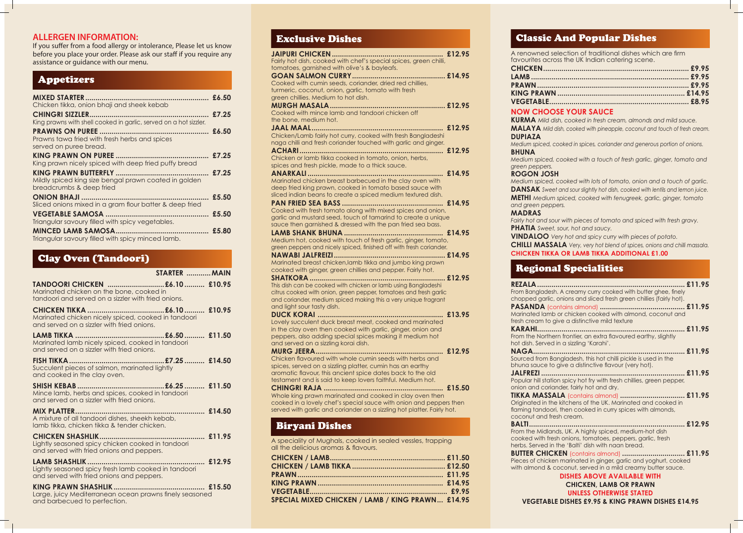## **ALLERGEN INFORMATION:**

If you suffer from a food allergy or intolerance, Please let us know before you place your order. Please ask our staff if you require any assistance or guidance with our menu.

## Appetizers

| Chicken tikka, onion bhaji and sheek kebab                                        |       |
|-----------------------------------------------------------------------------------|-------|
|                                                                                   |       |
| King prawns with shell cooked in garlic, served on a hot sizzler.                 |       |
|                                                                                   |       |
| Prawns tawa fried with fresh herbs and spices<br>served on puree bread.           |       |
|                                                                                   | £7.25 |
| King prawn nicely spiced with deep fried puffy bread                              |       |
|                                                                                   |       |
| Mildly spiced king size bengal prawn coated in golden<br>breadcrumbs & deep fried |       |
|                                                                                   | £5.50 |
| Sliced onions mixed in a gram flour batter & deep fried                           |       |
|                                                                                   |       |
| Triangular savoury filled with spicy vegetables.                                  |       |
|                                                                                   |       |
| Triangular savoury filled with spicy minced lamb.                                 |       |

## Clay Oven (Tandoori)

| STARTER  MAIN                                                                                                                     |
|-----------------------------------------------------------------------------------------------------------------------------------|
| TANDOORI CHICKEN £6.10  £10.95<br>Marinated chicken on the bone, cooked in<br>tandoori and served on a sizzler with fried onions. |
| Marinated chicken nicely spiced, cooked in tandoori<br>and served on a sizzler with fried onions.                                 |
| Marinated lamb nicely spiced, cooked in tandoori<br>and served on a sizzler with fried onions.                                    |
| Succulent pieces of salmon, marinated lightly<br>and cooked in the clay oven.                                                     |
| Mince lamb, herbs and spices, cooked in tandoori<br>and served on a sizzler with fried onions.                                    |
| A mixture of all tandoori dishes, sheekh kebab,<br>lamb tikka, chicken tikka & tender chicken.                                    |
| Lightly seasoned spicy chicken cooked in tandoori<br>and served with fried onions and peppers.                                    |
| Lightly seasoned spicy fresh lamb cooked in tandoori<br>and served with fried onions and peppers.                                 |
| Large, juicy Mediterranean ocean prawns finely seasoned<br>and barbecued to perfection.                                           |

## Exclusive Dishes

**REZALA......................................................................... £11.95** From Bangla chopped gr **PASANDA** 

Marinated I fresh cream **KARAHI......................................................................... £11.95**

onion and c **TIKKA MA** Originated in flaming tan coconut an

| L'ACIUSIVE DISHES                                                                                                                                                                                                                                                      |        |
|------------------------------------------------------------------------------------------------------------------------------------------------------------------------------------------------------------------------------------------------------------------------|--------|
| Fairly hot dish, cooked with chef's special spices, green chilli,<br>tomatoes, garnished with olive's & bayleafs.                                                                                                                                                      |        |
| Cooked with cumin seeds, coriander, dried red chillies,<br>turmeric, coconut, onion, garlic, tomato with fresh<br>green chillies. Medium to hot dish.                                                                                                                  |        |
| Cooked with mince lamb and tandoori chicken off<br>the bone, medium hot.                                                                                                                                                                                               |        |
| Chicken/Lamb fairly hot curry, cooked with fresh Bangladeshi<br>naga chilli and fresh coriander touched with garlic and ginger.                                                                                                                                        |        |
| Chicken or lamb tikka cooked in tomato, onion, herbs,<br>spices and fresh pickle, made to a thick sauce.                                                                                                                                                               |        |
| Marinated chicken breast barbecued in the clay oven with<br>deep fried king prawn, cooked in tomato based sauce with<br>sliced indian beans to create a spiced medium textured dish.                                                                                   |        |
| Cooked with fresh tomato along with mixed spices and onion,<br>garlic and mustard seed, touch of tamarind to create a unique<br>sauce then garnished & dressed with the pan fried sea bass.                                                                            |        |
| Medium hot, cooked with touch of fresh garlic, ginger, tomato,<br>green peppers and nicely spiced, finished off with fresh coriander.                                                                                                                                  |        |
| Marinated breast chicken, lamb tikka and jumbo king prawn<br>cooked with ginger, green chillies and pepper. Fairly hot.                                                                                                                                                |        |
| This dish can be cooked with chicken or lamb using Bangladeshi<br>citrus cooked with onion, green pepper, tomatoes and fresh garlic<br>and coriander, medium spiced making this a very unique fragrant<br>and light sour tasty dish.                                   |        |
| <b>DUCK KORAI.</b><br>Lovely succulent duck breast meat, cooked and marinated<br>in the clay oven then cooked with garlic, ginger, onion and<br>peppers, also adding special spices making it medium hot<br>and served on a sizzling korai dish.                       | £13.95 |
| <b>MURG JEERA.</b><br>Chicken flavoured with whole cumin seeds with herbs and<br>spices, served on a sizzling platter, cumin has an earthy<br>aromatic flavour, this ancient spice dates back to the old<br>testament and is said to keep lovers faithful. Medium hot. | £12.95 |
| <b>CHINGRI RAJA</b><br>Whole king prawn marinated and cooked in clay oven then<br>cooked in a lovely chef's special sauce with onion and peppers then<br>served with garlic and coriander on a sizzling hot platter. Fairly hot.                                       | £15.50 |

**BALTI............................................................................. £12.95** From the Mi cooked with herbs. Serve **BUTTER CI** 

| £11.95                                                                                                           |  |
|------------------------------------------------------------------------------------------------------------------|--|
| From Bangladesh. A creamy curry cooked with butter ghee, finely                                                  |  |
| chopped garlic, onions and sliced fresh green chillies (fairly hot).                                             |  |
|                                                                                                                  |  |
| Marinated lamb or chicken cooked with almond, coconut and                                                        |  |
| fresh cream to give a distinctive mild texture                                                                   |  |
|                                                                                                                  |  |
| From the Northern frontier, an extra flavoured earthy, slightly<br>hot dish. Served in a sizzling 'Karahi'.      |  |
|                                                                                                                  |  |
| Sourced from Bangladesh, this hot chilli pickle is used in the                                                   |  |
| bhuna sauce to give a distinctive flavour (very hot).                                                            |  |
|                                                                                                                  |  |
| Popular hill station spicy hot fry with fresh chillies, green pepper,                                            |  |
| onion and coriander, fairly hot and dry.                                                                         |  |
| <b>TIKKA MASSALA</b> (contains almond)  £11.95                                                                   |  |
| Originated in the kitchens of the UK. Marinated and cooked in                                                    |  |
| flaming tandoori, then cooked in curry spices with almonds,                                                      |  |
| coconut and fresh cream.                                                                                         |  |
|                                                                                                                  |  |
| From the Midlands, UK. A highly spiced, medium-hot dish                                                          |  |
| cooked with fresh onions, tomatoes, peppers, garlic, fresh<br>herbs. Served in the 'Balti' dish with naan bread. |  |
| <b>BUTTER CHICKEN</b> (contains almond)  £11.95                                                                  |  |
| Pieces of chicken marinated in ginger, garlic and yoghurt, cooked                                                |  |
| with almond & coconut, served in a mild creamy butter sauce.                                                     |  |
| <b>DISHES ABOVE AVAILABLE WITH</b>                                                                               |  |
| <b>CHICKEN, LAMB OR PRAWN</b>                                                                                    |  |
| <b>UNLESS OTHERWISE STATED</b>                                                                                   |  |
|                                                                                                                  |  |

## Biryani Dishes

A speciality of Mughals, cooked in sealed vessles, trapping all the delicious aromas & flavours.

| SPECIAL MIXED CHICKEN / LAMB / KING PRAWN £14.95 |  |
|--------------------------------------------------|--|

 $CHICKEN$ **LAMB.............................................................................. £9.95 PRAWN........................................................................... £9.95**   $KING PRA$  $VEGETAB$ 

## Classic And Popular Dishes

A renowned selection of traditional dishes which are firm favourites across the UK Indian catering scene.

| <b>COST VOUR CAUSE AND LOCATED</b> |  |
|------------------------------------|--|

## **NOW CHOOSE YOUR SAUCE**

**KURMA** *Mild dish, cooked in fresh cream, almonds and mild sauce.* **MALAYA** *Mild dish, cooked with pineapple, coconut and touch of fresh cream.*

**DUPIAZA** 

*Medium spiced, cooked in spices, coriander and generous portion of onions.*

**BHUNA** *Medium spiced, cooked with a touch of fresh garlic, ginger, tomato and green peppers.* **ROGON JOSH** *Medium spiced, cooked with lots of tomato, onion and a touch of garlic.* **DANSAK** *Sweet and sour slightly hot dish, cooked with lentils and lemon juice.* **METHI** *Medium spiced, cooked with fenugreek, garlic, ginger, tomato and green peppers.*  **MADRAS** 

*Fairly hot and sour with pieces of tomato and spiced with fresh gravy.*  **PHATIA** *Sweet, sour, hot and saucy.*

**VINDALOO** *Very hot and spicy curry with pieces of potato.*

**CHILLI MASSALA** *Very, very hot blend of spices, onions and chilli massala.* **CHICKEN TIKKA OR LAMB TIKKA ADDITIONAL £1.00**

## Regional Specialities

### **VEGETABLE DISHES £9.95 & KING PRAWN DISHES £14.95**